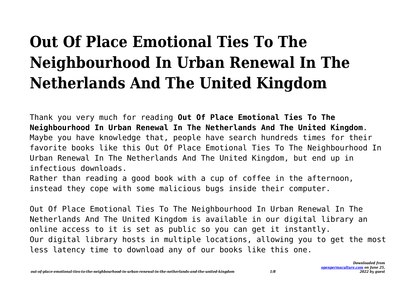# **Out Of Place Emotional Ties To The Neighbourhood In Urban Renewal In The Netherlands And The United Kingdom**

Thank you very much for reading **Out Of Place Emotional Ties To The Neighbourhood In Urban Renewal In The Netherlands And The United Kingdom**. Maybe you have knowledge that, people have search hundreds times for their favorite books like this Out Of Place Emotional Ties To The Neighbourhood In Urban Renewal In The Netherlands And The United Kingdom, but end up in infectious downloads.

Rather than reading a good book with a cup of coffee in the afternoon, instead they cope with some malicious bugs inside their computer.

Out Of Place Emotional Ties To The Neighbourhood In Urban Renewal In The Netherlands And The United Kingdom is available in our digital library an online access to it is set as public so you can get it instantly. Our digital library hosts in multiple locations, allowing you to get the most less latency time to download any of our books like this one.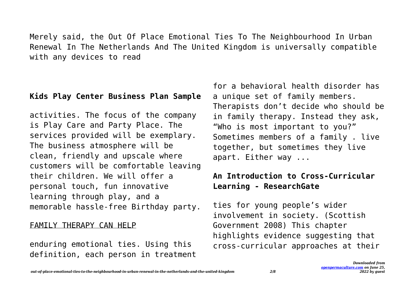Merely said, the Out Of Place Emotional Ties To The Neighbourhood In Urban Renewal In The Netherlands And The United Kingdom is universally compatible with any devices to read

#### **Kids Play Center Business Plan Sample**

activities. The focus of the company is Play Care and Party Place. The services provided will be exemplary. The business atmosphere will be clean, friendly and upscale where customers will be comfortable leaving their children. We will offer a personal touch, fun innovative learning through play, and a memorable hassle-free Birthday party.

#### FAMILY THERAPY CAN HELP

enduring emotional ties. Using this definition, each person in treatment for a behavioral health disorder has a unique set of family members. Therapists don't decide who should be in family therapy. Instead they ask, "Who is most important to you?" Sometimes members of a family . live together, but sometimes they live apart. Either way ...

# **An Introduction to Cross-Curricular Learning - ResearchGate**

ties for young people's wider involvement in society. (Scottish Government 2008) This chapter highlights evidence suggesting that cross-curricular approaches at their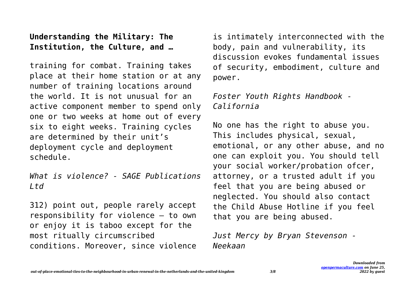## **Understanding the Military: The Institution, the Culture, and …**

training for combat. Training takes place at their home station or at any number of training locations around the world. It is not unusual for an active component member to spend only one or two weeks at home out of every six to eight weeks. Training cycles are determined by their unit's deployment cycle and deployment schedule.

*What is violence? - SAGE Publications Ltd*

312) point out, people rarely accept responsibility for violence – to own or enjoy it is taboo except for the most ritually circumscribed conditions. Moreover, since violence is intimately interconnected with the body, pain and vulnerability, its discussion evokes fundamental issues of security, embodiment, culture and power.

## *Foster Youth Rights Handbook - California*

No one has the right to abuse you. This includes physical, sexual, emotional, or any other abuse, and no one can exploit you. You should tell your social worker/probation ofcer, attorney, or a trusted adult if you feel that you are being abused or neglected. You should also contact the Child Abuse Hotline if you feel that you are being abused.

*Just Mercy by Bryan Stevenson - Neekaan*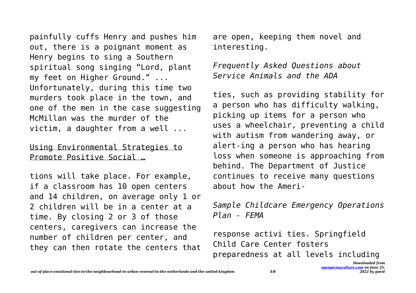painfully cuffs Henry and pushes him out, there is a poignant moment as Henry begins to sing a Southern spiritual song singing "Lord, plant my feet on Higher Ground." ... Unfortunately, during this time two murders took place in the town, and one of the men in the case suggesting McMillan was the murder of the victim, a daughter from a well ...

#### Using Environmental Strategies to Promote Positive Social …

tions will take place. For example, if a classroom has 10 open centers and 14 children, on average only 1 or 2 children will be in a center at a time. By closing 2 or 3 of those centers, caregivers can increase the number of children per center, and they can then rotate the centers that are open, keeping them novel and interesting.

*Frequently Asked Questions about Service Animals and the ADA*

ties, such as providing stability for a person who has difficulty walking, picking up items for a person who uses a wheelchair, preventing a child with autism from wandering away, or alert-ing a person who has hearing loss when someone is approaching from behind. The Department of Justice continues to receive many questions about how the Ameri-

*Sample Childcare Emergency Operations Plan - FEMA*

response activi ties. Springfield Child Care Center fosters preparedness at all levels including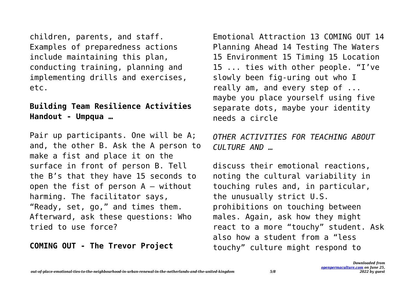children, parents, and staff. Examples of preparedness actions include maintaining this plan, conducting training, planning and implementing drills and exercises, etc.

#### **Building Team Resilience Activities Handout - Umpqua …**

Pair up participants. One will be A; and, the other B. Ask the A person to make a fist and place it on the surface in front of person B. Tell the B's that they have 15 seconds to open the fist of person  $A -$  without harming. The facilitator says, "Ready, set, go," and times them. Afterward, ask these questions: Who tried to use force?

**COMING OUT - The Trevor Project**

Emotional Attraction 13 COMING OUT 14 Planning Ahead 14 Testing The Waters 15 Environment 15 Timing 15 Location 15 ... ties with other people. "I've slowly been fig-uring out who I really am, and every step of ... maybe you place yourself using five separate dots, maybe your identity needs a circle

# *OTHER ACTIVITIES FOR TEACHING ABOUT CULTURE AND …*

discuss their emotional reactions, noting the cultural variability in touching rules and, in particular, the unusually strict U.S. prohibitions on touching between males. Again, ask how they might react to a more "touchy" student. Ask also how a student from a "less touchy" culture might respond to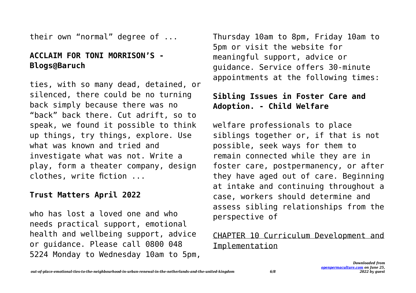their own "normal" degree of ...

#### **ACCLAIM FOR TONI MORRISON'S - Blogs@Baruch**

ties, with so many dead, detained, or silenced, there could be no turning back simply because there was no "back" back there. Cut adrift, so to speak, we found it possible to think up things, try things, explore. Use what was known and tried and investigate what was not. Write a play, form a theater company, design clothes, write fiction ...

#### **Trust Matters April 2022**

who has lost a loved one and who needs practical support, emotional health and wellbeing support, advice or guidance. Please call 0800 048 5224 Monday to Wednesday 10am to 5pm, Thursday 10am to 8pm, Friday 10am to 5pm or visit the website for meaningful support, advice or guidance. Service offers 30-minute appointments at the following times:

#### **Sibling Issues in Foster Care and Adoption. - Child Welfare**

welfare professionals to place siblings together or, if that is not possible, seek ways for them to remain connected while they are in foster care, postpermanency, or after they have aged out of care. Beginning at intake and continuing throughout a case, workers should determine and assess sibling relationships from the perspective of

#### CHAPTER 10 Curriculum Development and Implementation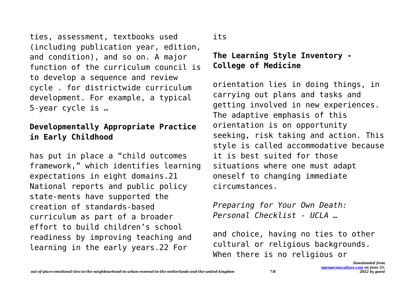ties, assessment, textbooks used (including publication year, edition, and condition), and so on. A major function of the curriculum council is to develop a sequence and review cycle . for districtwide curriculum development. For example, a typical 5-year cycle is …

## **Developmentally Appropriate Practice in Early Childhood**

has put in place a "child outcomes framework," which identifies learning expectations in eight domains.21 National reports and public policy state-ments have supported the creation of standards-based curriculum as part of a broader effort to build children's school readiness by improving teaching and learning in the early years.22 For

its

# **The Learning Style Inventory - College of Medicine**

orientation lies in doing things, in carrying out plans and tasks and getting involved in new experiences. The adaptive emphasis of this orientation is on opportunity seeking, risk taking and action. This style is called accommodative because it is best suited for those situations where one must adapt oneself to changing immediate circumstances.

*Preparing for Your Own Death: Personal Checklist - UCLA …*

and choice, having no ties to other cultural or religious backgrounds. When there is no religious or